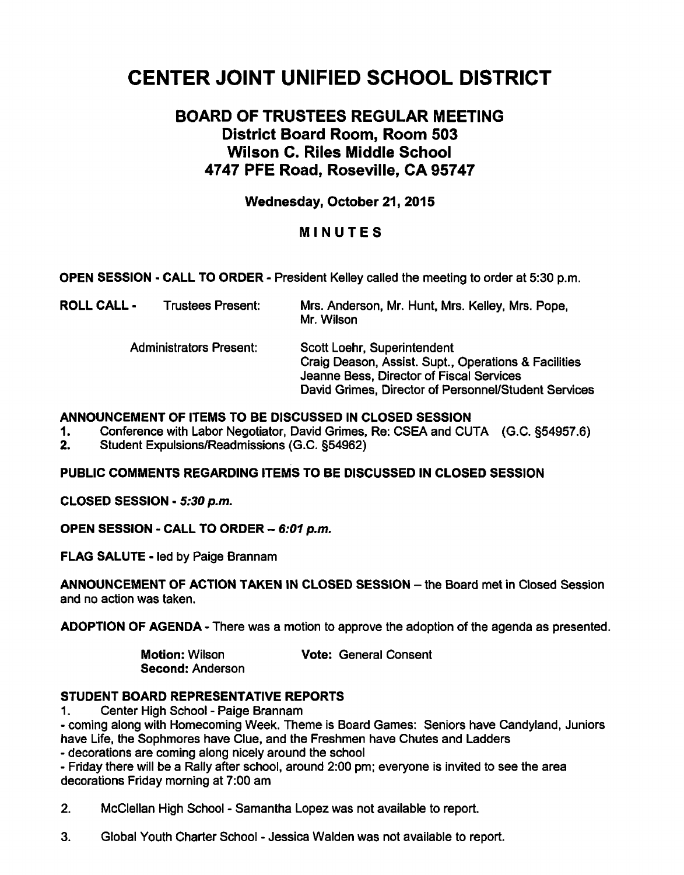# **CENTER JOINT UNIFIED SCHOOL DISTRICT**

# **BOARD OF TRUSTEES REGULAR MEETING District Board Room, Room 503 Wilson C. Riles Middle School 4747 PFE Road, Roseville, CA 95747**

## **Wednesday, October 21,2015**

### **MINUTES**

**OPEN SESSION** - **CALL TO ORDER** - President Kelley called the meeting to order at **330** p.m.

| ROLL CALL - | <b>Trustees Present:</b> | Mrs. Anderson, Mr. Hunt, Mrs. Kelley, Mrs. Pope, |
|-------------|--------------------------|--------------------------------------------------|
|             |                          | Mr. Wilson                                       |

Administrators Present: Scott Loehr, Superintendent Craig Deason, Assist. Supt., Operations & Facilities Jeanne Bess, Director of Fiscal Services David Grimes, Director of Personnel/Student Services

#### **ANNOUNCEMENT OF ITEMS TO BE DISCUSSED IN CLOSED SESSION**

**1.** Conference with Labor Negotiator, David Grimes, Re: CSEA and CUTA (G.C. **554957.6)** 

2. Student Expulsions/Readmissions (G.C. **s54962)** 

**PUBLIC COMMENTS REGARDING ITEMS TO BE DISCUSSED IN CLOSED SESSION** 

**CLOSED SESSION** - **5:30 p.m.** 

**OPEN SESSION** - **CALL TO ORDER** - **6:01 p.m.** 

**FLAG SALUTE** - led by Paige Brannam

**ANNOUNCEMENT OF ACTION TAKEN IN CLOSED SESSION - the Board met in Closed Session** and no action was taken.

**ADOPTION OF AGENDA** - There was a motion to approve the adoption of the agenda as presented.

**Second:** Anderson

**Motion:** Wilson **Vote:** General Consent

### **STUDENT BOARD REPRESENTATIVE REPORTS**

**1.** Center High School - Paige Brannam

- coming along with Homecoming Week. Theme is Board Games: Seniors have Candyland, Juniors have Life, the Sophmores have Clue, and the Freshmen have Chutes and Ladders

- decorations are coming along nicely around the school

- Friday there will be a Rally after school, around 2:00 pm; everyone is invited to see the area decorations Friday morning at **7:00** am

2. McClellan High School - Samantha Lopez was not available to report.

**3.** Global Youth Charter School - Jessica Walden was not available to report.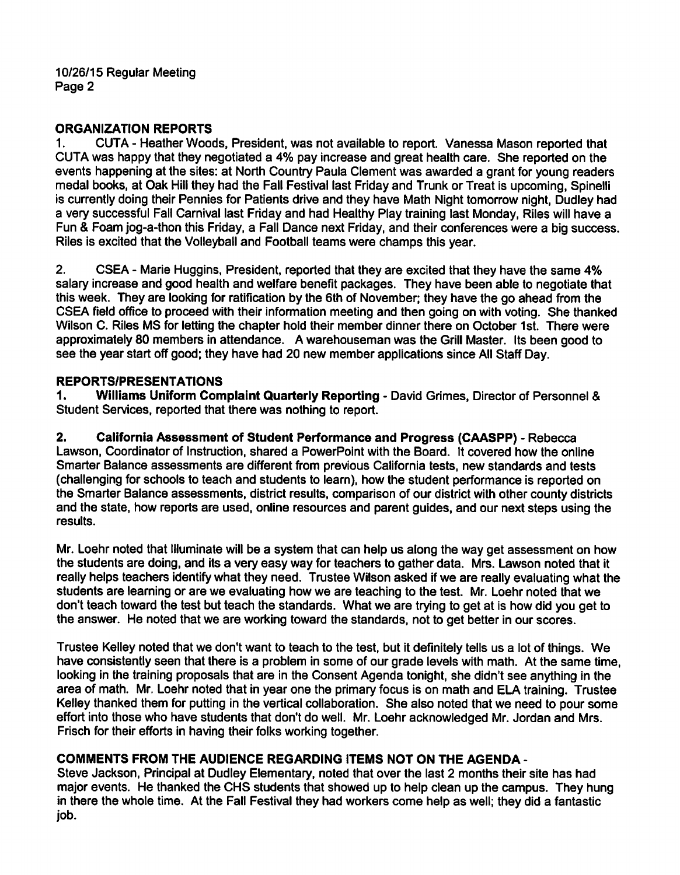10/26/15 Regular Meeting Page 2

# **ORGANIZATION REPORTS**<br>1. CUTA - Heather Wood

1. CUTA - Heather Woods, President, was not available to report. Vanessa Mason reported that CUTA was happy that they negotiated a **4%** pay increase and great health care. She reported on the events happening at the sites: at North Country Paula Clement was awarded a grant for young readers medal books, at Oak Hill they had the Fall Festival last Friday and Trunk or Treat is upcoming, Spinelli is currently doing their Pennies for Patients drive and they have Math Night tomorrow night, Dudley had a very successful Fall Carnival last Friday and had Healthy Play training last Monday, Riles will have a Fun & Foam jog-a-thon this Friday, a Fall Dance next Friday, and their conferences were a big success. Riles is excited that the Volleyball and Football teams were champs this year.

2. CSEA - Marie Huggins, President, reported that they are excited that they have the same **4%**  salary increase and good health and welfare benefit packages. They have been able to negotiate that this week. They are looking for ratification by the 6th of November; they have the go ahead from the CSEA field office to proceed with their information meeting and then going on with voting. She thanked Wilson C. Riles MS for letting the chapter hold their member dinner there on October 1st. There were approximately 80 members in attendance. A warehouseman was the Grill Master. Its been good to see the year start off good; they have had 20 new member applications since All Staff Day.

# REPORTS/PRESENTATIONS<br>1. Williams Uniform Com

Williams Uniform Complaint Quarterly Reporting - David Grimes, Director of Personnel & Student Services, reported that there was nothing to report.

**2.** California Assessment of Student Performance and Progress (CAASPP) - Rebecca Lawson, Coordinator of Instruction, shared a PowerPoint with the Board. It covered how the online Smarter Balance assessments are different from previous California tests, new standards and tests (challenging for schools to teach and students to learn), how the student performance is reported on the Smarter Balance assessments, district results, comparison of our district with other county districts and the state, how reports are used, online resources and parent guides, and our next steps using the results.

Mr. Loehr noted that Illuminate will be a system that can help us along the way get assessment on how the students are doing, and its a very easy way for teachers to gather data. Mrs. Lawson noted that it really helps teachers identify what they need. Trustee Wilson asked if we are really evaluating what the students are learning or are we evaluating how we are teaching to the test. Mr. Loehr noted that we don't teach toward the test but teach the standards. What we are trying to get at is how did you get to the answer. He noted that we are working toward the standards, not to get better in our scores.

Trustee Kelley noted that we don't want to teach to the test, but it definitely tells us a lot of things. We have consistently seen that there is a problem in some of our grade levels with math. At the same time, looking in the training proposals that are in the Consent Agenda tonight, she didn't see anything in the area of math. Mr. Loehr noted that in year one the primary focus is on math and **€LA** training. Trustee Kelley thanked them for putting in the vertical collaboration. She also noted that we need to pour some effort into those who have students that don't do well. Mr. Loehr acknowledged Mr. Jordan and Mrs. Frisch for their efforts in having their folks working together.

## COMMENTS FROM THE AUDIENCE REGARDING ITEMS NOT ON THE AGENDA -

Steve Jackson, Principal at Dudley Elementary, noted that over the last 2 months their site has had major events. He thanked the CHS students that showed up to help clean up the campus. They hung in there the whole time. At the Fall Festival they had workers come help as well; they did a fantastic job.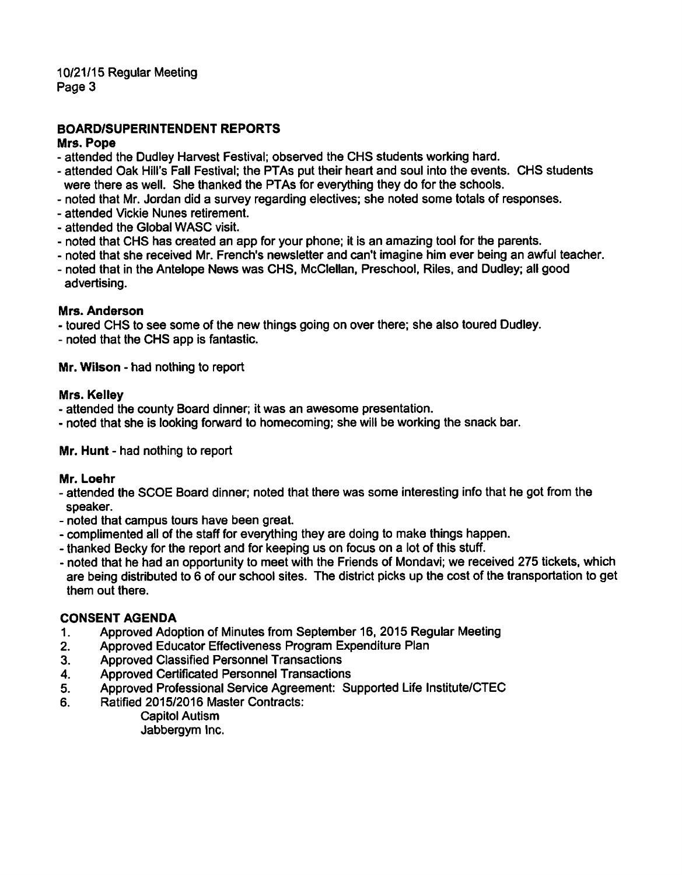10/21/15 Regular Meeting Page 3

### **BOARDISUPERINTENDENT REPORTS**

#### **Mrs. Pope**

- attended the Dudley Harvest Festival; observed the CHS students working hard.
- attended Oak Hill's Fall Festival; the PTAs put their heart and soul into the events. CHS students were there as well. She thanked the PTAs for everything they do for the schools.
- noted that Mr. Jordan did a survey regarding electives; she noted some totals of responses.
- attended Vickie Nunes retirement.
- attended the Global WASC visit.
- noted that CHS has created an app for your phone; it is an amazing tool for the parents.
- noted that she received Mr. French's newsletter and can't imagine him ever being an awful teacher.
- noted that in the Antelope News was CHS, McClellan, Preschool, Riles, and Dudley; all good advertising.

#### **Mrs. Anderson**

- toured CHS to see some of the new things going on over there; she also toured Dudley.

- noted that the CHS app is fantastic.

**Mr. Wilson** - had nothing to report

#### **Mrs. Kelley**

- attended the county Board dinner; it was an awesome presentation.

- noted that she is looking fonvard to homecoming; she will be working the snack bar.

#### **Mr. Hunt** - had nothing to report

#### **Mr. Loehr**

- attended the SCOE Board dinner; noted that there was some interesting info that he got from the speaker.
- noted that campus tours have been great.
- complimented all of the staff for everything they are doing to make things happen.
- thanked Becky for the report and for keeping us on focus on a lot of this stuff.
- noted that he had an opportunity to meet with the Friends of Mondavi; we received 275 tickets, which are being distributed to 6 of our school sites. The district picks up the cost of the transportation to get them out there.

#### **CONSENT AGENDA**

- **1.** Approved Adoption of Minutes from September 16, 2015 Regular Meeting
- **2.** Approved Educator Effectiveness Program Expenditure Plan
- 3. Approved Classified Personnel Transactions
- 4. Approved Certificated Personnel Transactions
- 5. Approved Professional Service Agreement: Supported Life Institute/CTEC
- 6. Ratified 2015/2016 Master Contracts:
	- Capitol Autism Jabbergym Inc.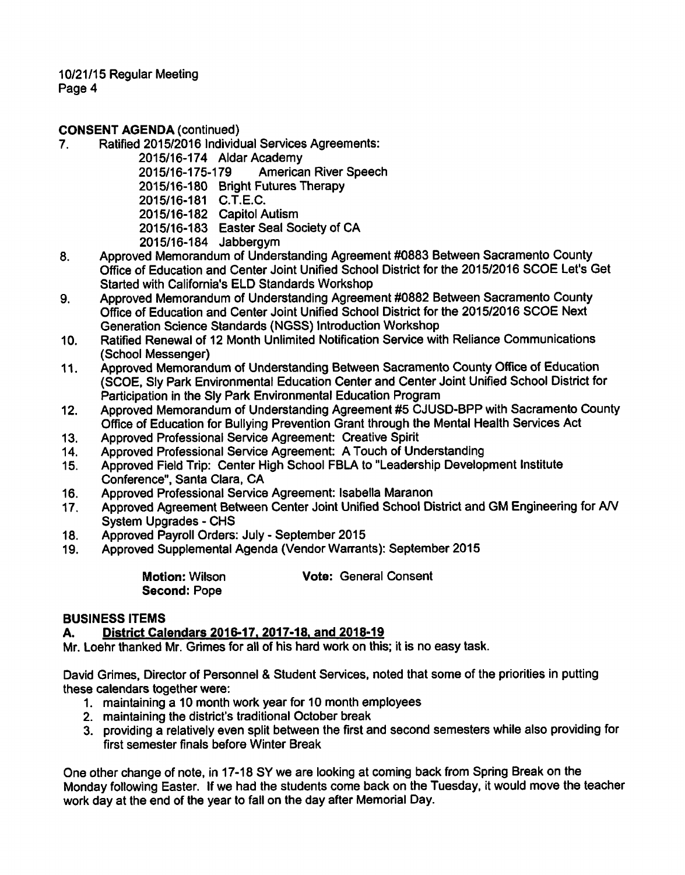10/21/15 Regular Meeting Page 4

# **CONSENT AGENDA (continued)**<br>7. Ratified 2015/2016 Individe

Ratified 2015/2016 Individual Services Agreements:

2015/16-174 Aldar Academy<br>2015/16-175-179 America

American River Speech

2015/16-180 Bright Futures Therapy

2015/16-181 C.T.E.C.

2015/16-182 Capitol Autism

2015/16-183 Easter Seal Society of CA

- 2015116-184 Jabbergym
- 8, Approved Memorandum of Understanding Agreement #0883 Between Sacramento County Office of Education and Center Joint Unified School District for the 201512016 SCOE Let's Get Started with California's ELD Standards Workshop
- 9. Approved Memorandum of Understanding Agreement #0882 Between Sacramento County Office of Education and Center Joint Unified School District for the 201512016 SCOE Next Generation Science Standards (NGSS) Introduction Workshop
- 10. Ratified Renewal of 12 Month Unlimited Notification Service with Reliance Communications (School Messenger)
- 11. Approved Memorandum of Understanding Between Sacramento County Office of Education (SCOE, Sly Park Environmental Education Center and Center Joint Unified School District for Participation in the Sly Park Environmental Education Program
- 12. Approved Memorandum of Understanding Agreement #5 CJUSD-BPP with Sacramento County Office of Education for Bullying Prevention Grant through the Mental Health Services Act
- 13. Approved Professional Service Agreement: Creative Spirit 14. Approved Professional Service Agreement: A Touch of Unit
- Approved Professional Service Agreement: A Touch of Understanding
- 15. Approved Field Trip: Center High School FBLA to "Leadership Development Institute Conference", Santa Clara, CA
- 16. Approved Professional Service Agreement: lsabella Maranon
- 17. Approved Agreement Between Center Joint Unified School District and GM Engineering for AN System Upgrades - CHS
- 18. Approved Payroll Orders: July September 2015
- 19. Approved Supplemental Agenda (Vendor Warrants): September 2015

**Motion:** Wilson **Second:** Pope **Vote:** General Consent

#### **BUSINESS ITEMS**

### A. District Calendars 2016-17, 2017-18, and 2018-19

Mr. Loehr thanked Mr. Grimes for all of his hard work on this; it is no easy task.

David Grimes, Director of Personnel & Student Services, noted that some of the priorities in putting these calendars together were:

- 1. maintaining a 10 month work year for 10 month employees
- 2. maintaining the district's traditional October break
- 3. providing a relatively even split between the first and second semesters while also providing for first semester finals before Winter Break

One other change of note, in 17-18 SY we are looking at coming back from Spring Break on the Monday following Easter. If we had the students come back on the Tuesday, it would move the teacher work day at the end of the year to fall on the day after Memorial Day.